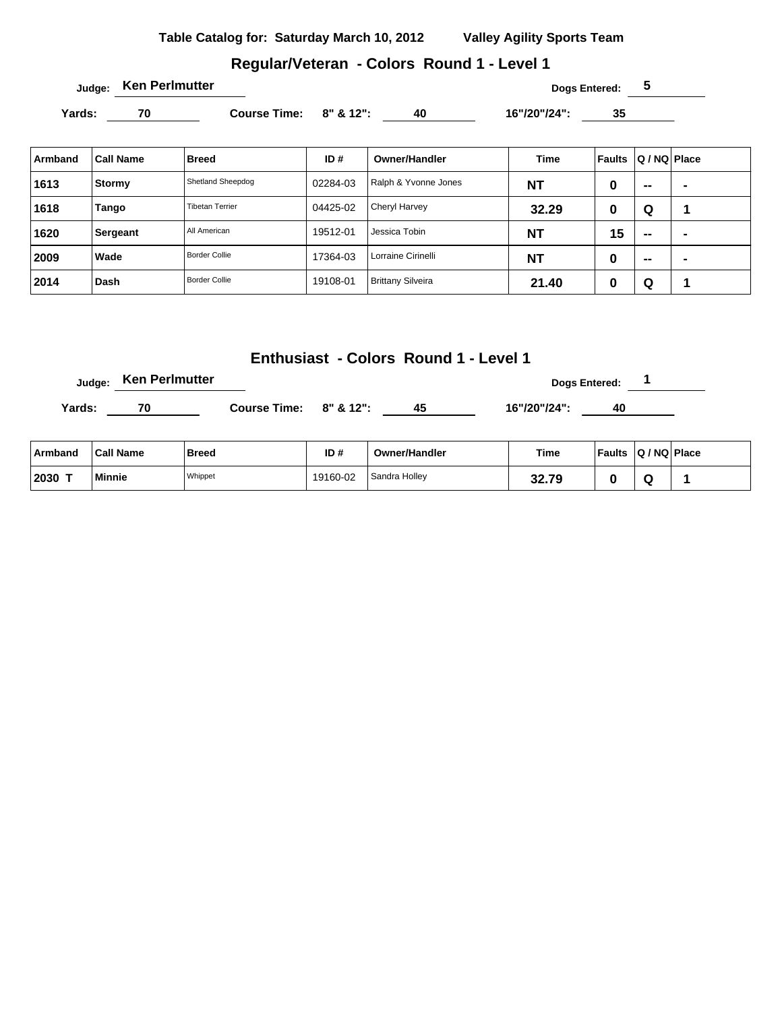#### **Regular/Veteran - Colors Round 1 - Level 1**

Yards: 70 Course Time: 8" & 12": 40 16"/20"/24": 35

| Armband | <b>Call Name</b> | <b>Breed</b>           | ID#      | <b>Owner/Handler</b>     | Time      | Faults | Q / NQ Place |   |
|---------|------------------|------------------------|----------|--------------------------|-----------|--------|--------------|---|
| 1613    | Stormy           | Shetland Sheepdog      | 02284-03 | Ralph & Yvonne Jones     | <b>NT</b> | 0      | $\sim$       | - |
| 1618    | Tango            | <b>Tibetan Terrier</b> | 04425-02 | <b>Cheryl Harvey</b>     | 32.29     | O      | Q            |   |
| 1620    | Sergeant         | All American           | 19512-01 | Jessica Tobin            | <b>NT</b> | 15     | $\sim$       | - |
| 2009    | Wade             | <b>Border Collie</b>   | 17364-03 | Lorraine Cirinelli       | <b>NT</b> | O      | --           | - |
| 2014    | Dash             | <b>Border Collie</b>   | 19108-01 | <b>Brittany Silveira</b> | 21.40     | O      | Q            |   |

## **Enthusiast - Colors Round 1 - Level 1**

**Judge:** Ken Perlmutter **Dogs Entered:** 1

Yards: 70 Course Time: 8" & 12": 45 16"/20"/24": 40

| Armband | <b>Call Name</b> | <b>Breed</b> | ID#      | <b>Owner/Handler</b> | Time  | <b>Faults</b> | Q / NQ Place |  |
|---------|------------------|--------------|----------|----------------------|-------|---------------|--------------|--|
| 2030    | Minnie           | Whippet      | 19160-02 | Sandra Holley        | 32.79 |               | ື            |  |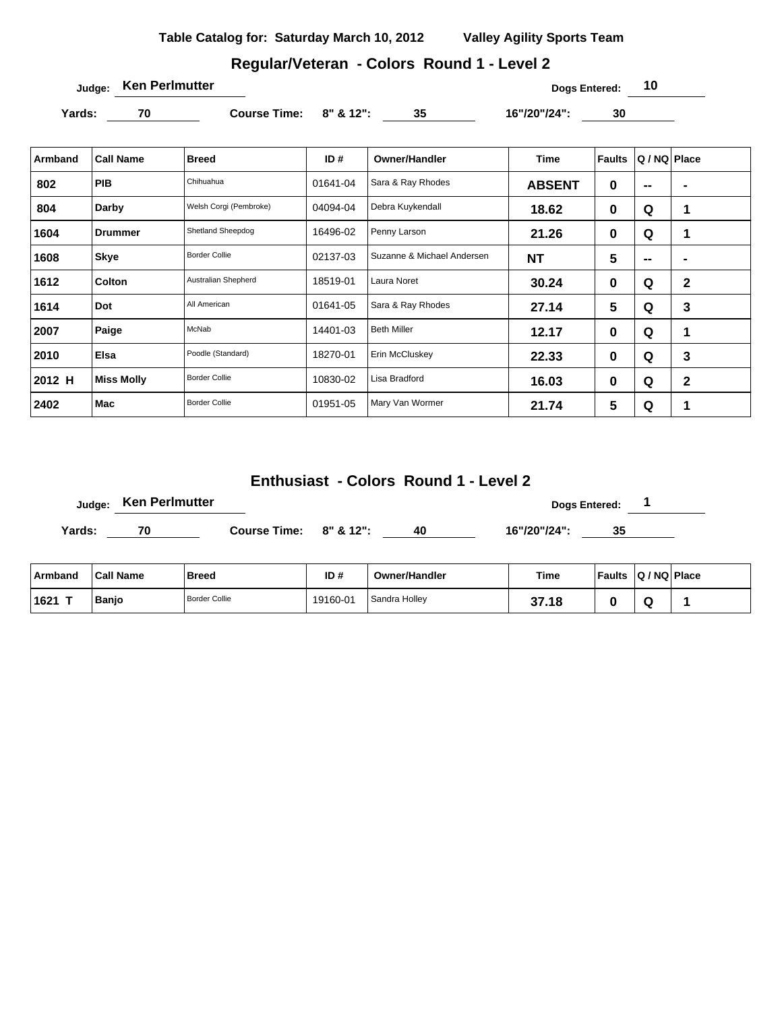# **Regular/Veteran - Colors Round 1 - Level 2**

**Judge: Ken Perlmutter 10** 

Yards: 70 Course Time: 8" & 12": 35 16"/20"/24": 30

| Armband | <b>Call Name</b>  | <b>Breed</b>           | ID#      | <b>Owner/Handler</b>       | <b>Time</b>   | <b>Faults</b> | Q / NQ Place |                |
|---------|-------------------|------------------------|----------|----------------------------|---------------|---------------|--------------|----------------|
| 802     | <b>PIB</b>        | Chihuahua              | 01641-04 | Sara & Ray Rhodes          | <b>ABSENT</b> | $\bf{0}$      | $-$          | $\blacksquare$ |
| 804     | Darby             | Welsh Corgi (Pembroke) | 04094-04 | Debra Kuykendall           | 18.62         | $\bf{0}$      | Q            | $\mathbf 1$    |
| 1604    | <b>Drummer</b>    | Shetland Sheepdog      | 16496-02 | Penny Larson               | 21.26         | 0             | Q            | 1              |
| 1608    | Skye              | <b>Border Collie</b>   | 02137-03 | Suzanne & Michael Andersen | <b>NT</b>     | 5             | $\mathbf{m}$ |                |
| 1612    | <b>Colton</b>     | Australian Shepherd    | 18519-01 | Laura Noret                | 30.24         | $\bf{0}$      | Q            | $\overline{2}$ |
| 1614    | Dot               | All American           | 01641-05 | Sara & Ray Rhodes          | 27.14         | 5             | Q            | 3              |
| 2007    | Paige             | McNab                  | 14401-03 | <b>Beth Miller</b>         | 12.17         | $\bf{0}$      | Q            | 1              |
| 2010    | <b>Elsa</b>       | Poodle (Standard)      | 18270-01 | Erin McCluskey             | 22.33         | $\bf{0}$      | Q            | 3              |
| 2012 H  | <b>Miss Molly</b> | <b>Border Collie</b>   | 10830-02 | Lisa Bradford              | 16.03         | 0             | Q            | $\mathbf 2$    |
| 2402    | Mac               | <b>Border Collie</b>   | 01951-05 | Mary Van Wormer            | 21.74         | 5             | Q            | 1              |

### **Enthusiast - Colors Round 1 - Level 2**

|        | Judge: Ken Perlmutter |                        |    |              | <b>Dogs Entered:</b> |  |
|--------|-----------------------|------------------------|----|--------------|----------------------|--|
| Yards: | 70                    | Course Time: 8" & 12": | 40 | 16"/20"/24": |                      |  |

| ∣ Armband | <sup>⊥</sup> Call Name | Breed         | ID#      | <b>Owner/Handler</b> | <b>Time</b> | <b>Faults</b> | $ Q/NQ $ Place |  |
|-----------|------------------------|---------------|----------|----------------------|-------------|---------------|----------------|--|
| ⊺1621     | <b>Banjo</b>           | Border Collie | 19160-01 | Sandra Holley        | 37.18       |               | ື              |  |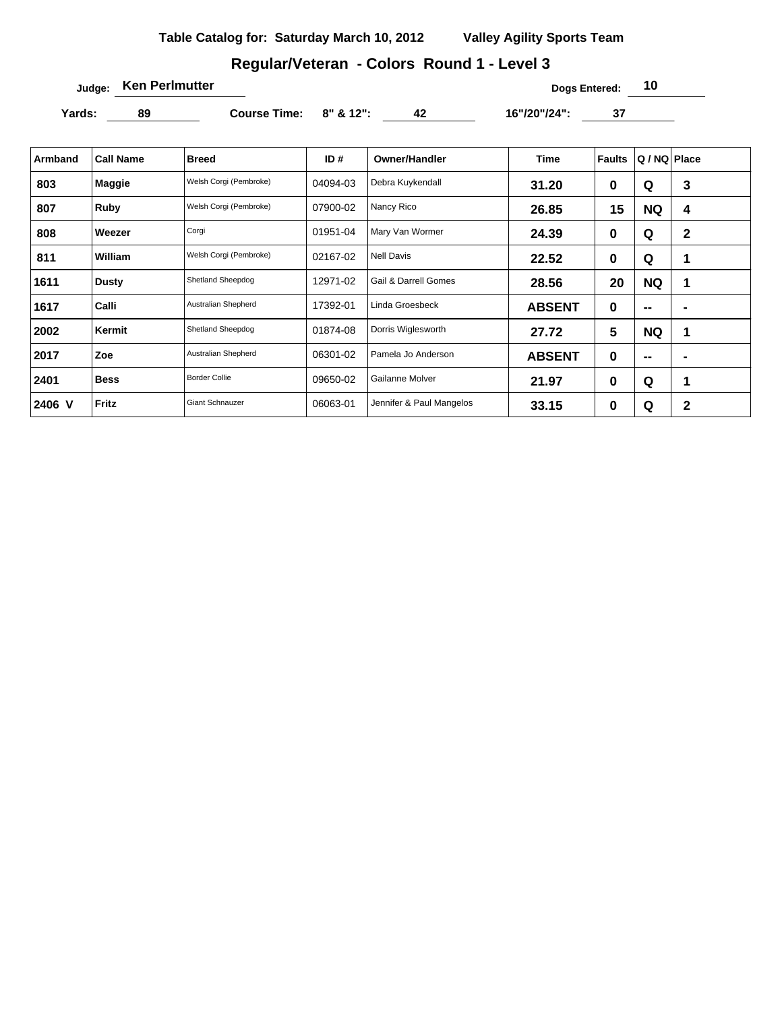## **Regular/Veteran - Colors Round 1 - Level 3**

**Judge:** Ken Perlmutter **Dogs Entered:** 10

Yards: 89 Course Time: 8" & 12": 42 16"/20"/24": 37

| Armband | <b>Call Name</b> | <b>Breed</b>           | ID#      | <b>Owner/Handler</b>     | <b>Time</b>   | <b>Faults</b> | Q / NQ Place                 |                |
|---------|------------------|------------------------|----------|--------------------------|---------------|---------------|------------------------------|----------------|
| 803     | Maggie           | Welsh Corgi (Pembroke) | 04094-03 | Debra Kuykendall         | 31.20         | 0             | Q                            | 3              |
| 807     | Ruby             | Welsh Corgi (Pembroke) | 07900-02 | Nancy Rico               | 26.85         | 15            | <b>NQ</b>                    | 4              |
| 808     | Weezer           | Corgi                  | 01951-04 | Mary Van Wormer          | 24.39         | 0             | Q                            | $\mathbf{2}$   |
| 811     | William          | Welsh Corgi (Pembroke) | 02167-02 | <b>Nell Davis</b>        | 22.52         | 0             | Q                            | 1              |
| 1611    | <b>Dusty</b>     | Shetland Sheepdog      | 12971-02 | Gail & Darrell Gomes     | 28.56         | 20            | <b>NQ</b>                    | 1              |
| 1617    | Calli            | Australian Shepherd    | 17392-01 | Linda Groesbeck          | <b>ABSENT</b> | 0             | $\qquad \qquad \blacksquare$ |                |
| 2002    | Kermit           | Shetland Sheepdog      | 01874-08 | Dorris Wiglesworth       | 27.72         | 5             | <b>NQ</b>                    | 1              |
| 2017    | Zoe              | Australian Shepherd    | 06301-02 | Pamela Jo Anderson       | <b>ABSENT</b> | 0             | $\mathbf{m}$                 | $\blacksquare$ |
| 2401    | <b>Bess</b>      | <b>Border Collie</b>   | 09650-02 | Gailanne Molver          | 21.97         | 0             | Q                            | 1              |
| 2406 V  | Fritz            | <b>Giant Schnauzer</b> | 06063-01 | Jennifer & Paul Mangelos | 33.15         | 0             | Q                            | $\mathbf{2}$   |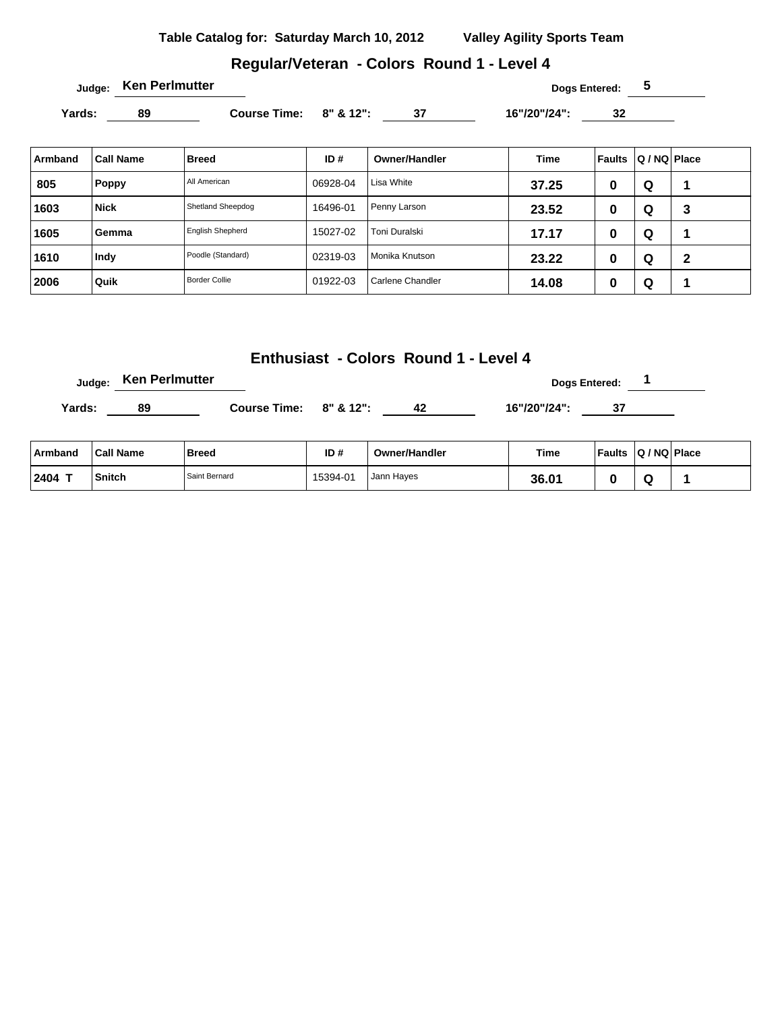#### **Regular/Veteran - Colors Round 1 - Level 4**

Yards: 89 Course Time: 8" & 12": 37 16"/20"/24": 32

| Armband | <b>Call Name</b> | <b>Breed</b>            | ID#      | Owner/Handler    | Time  | Faults | Q / NQ   Place |   |
|---------|------------------|-------------------------|----------|------------------|-------|--------|----------------|---|
| 805     | <b>Poppy</b>     | All American            | 06928-04 | Lisa White       | 37.25 | 0      | Q              |   |
| 1603    | <b>Nick</b>      | Shetland Sheepdog       | 16496-01 | Penny Larson     | 23.52 | o      | Q              | 3 |
| 1605    | Gemma            | <b>English Shepherd</b> | 15027-02 | Toni Duralski    | 17.17 | O      | Q              |   |
| 1610    | Indy             | Poodle (Standard)       | 02319-03 | l Monika Knutson | 23.22 | 0      | Q              | 2 |
| 2006    | Quik             | <b>Border Collie</b>    | 01922-03 | Carlene Chandler | 14.08 | o      | Q              |   |

## **Enthusiast - Colors Round 1 - Level 4**

**Judge:** Ken Perlmutter **Dogs Entered:** 1

Yards: 89 Course Time: 8" & 12": 42 16"/20"/24": 37

| Armband | <b>Call Name</b> | <b>Breed</b>  | ID#      | <b>Owner/Handler</b> | Time  | <b>Faults</b> | Q / NQ   Place |  |
|---------|------------------|---------------|----------|----------------------|-------|---------------|----------------|--|
| 12404   | <b>Snitch</b>    | Saint Bernard | 15394-01 | Jann Hayes           | 36.01 |               | ື              |  |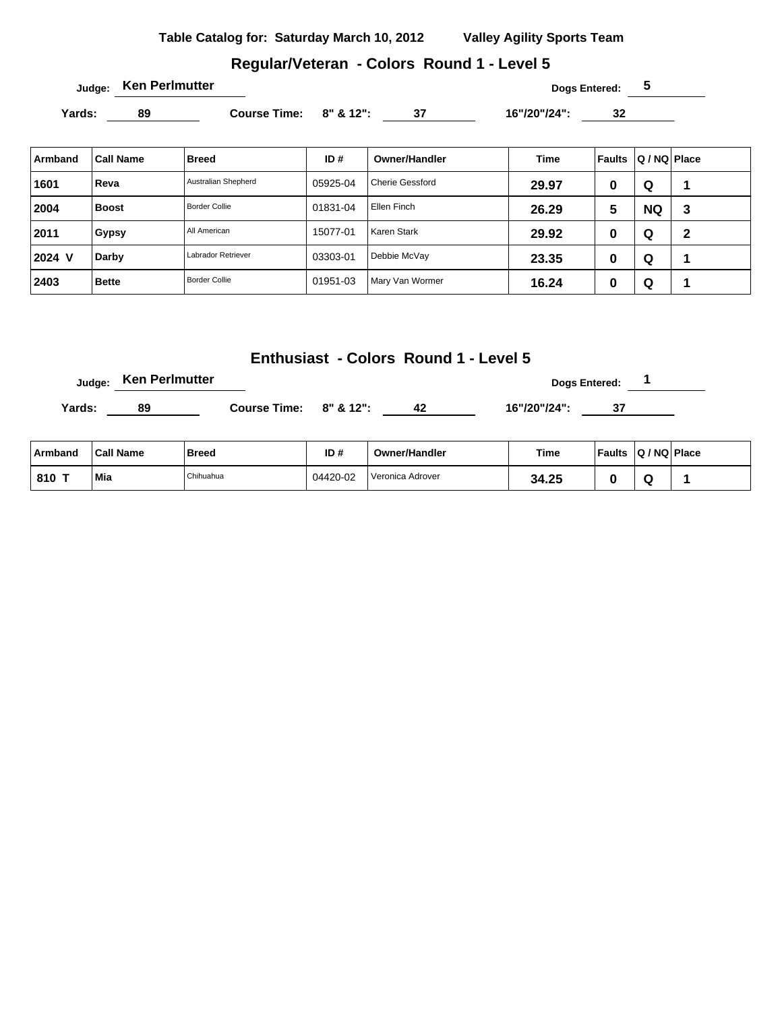#### **Regular/Veteran - Colors Round 1 - Level 5**

Yards: 89 Course Time: 8" & 12": 37 16"/20"/24": 32

| Armband | <b>Call Name</b> | <b>Breed</b>         | ID#      | Owner/Handler          | <b>Time</b> | Faults | Q / NQ   Place |   |
|---------|------------------|----------------------|----------|------------------------|-------------|--------|----------------|---|
| 1601    | Reva             | Australian Shepherd  | 05925-04 | <b>Cherie Gessford</b> | 29.97       | 0      | Q              |   |
| 2004    | <b>Boost</b>     | <b>Border Collie</b> | 01831-04 | Ellen Finch            | 26.29       | 5      | <b>NQ</b>      | 3 |
| 2011    | Gypsy            | All American         | 15077-01 | Karen Stark            | 29.92       | 0      | Q              | 2 |
| 2024 V  | Darby            | Labrador Retriever   | 03303-01 | Debbie McVay           | 23.35       | 0      | Q              |   |
| 2403    | <b>Bette</b>     | <b>Border Collie</b> | 01951-03 | Mary Van Wormer        | 16.24       | O      | Q              |   |

## **Enthusiast - Colors Round 1 - Level 5**

**Judge:** Ken Perlmutter **Dogs Entered:** 1

Yards: 89 Course Time: 8" & 12": 42 16"/20"/24": 37

| Armband | <b>Call Name</b> | Breed     | ID#      | <b>Owner/Handler</b> | Time  | <b>Faults</b> | Q / NQ   Place           |  |
|---------|------------------|-----------|----------|----------------------|-------|---------------|--------------------------|--|
| 810 T   | Mia              | Chihuahua | 04420-02 | l Veronica Adrover   | 34.25 |               | $\overline{\phantom{a}}$ |  |